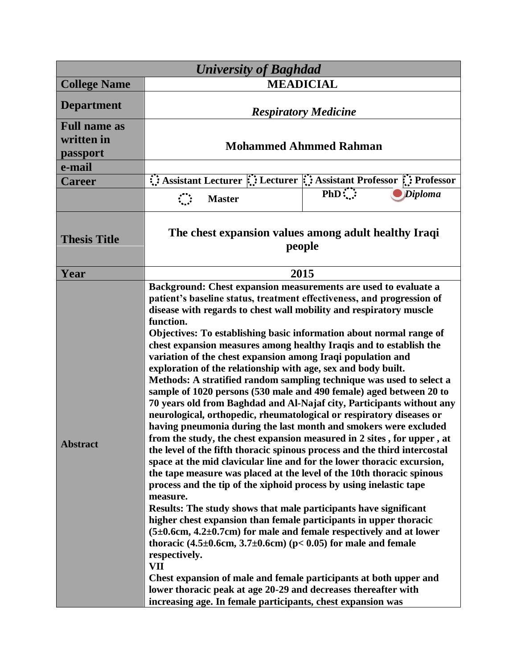| <b>University of Baghdad</b>                  |                                                                                                                                                                                                                                                                                                                                                                                                                                                                                                                                                                                                                                                                                                                                                                                                                                                                                                                                                                                                                                                                                                                                                                                                                                                                                                                                                                                                                                                                                                                                                                                                                                                                                                                                             |                                                                    |  |
|-----------------------------------------------|---------------------------------------------------------------------------------------------------------------------------------------------------------------------------------------------------------------------------------------------------------------------------------------------------------------------------------------------------------------------------------------------------------------------------------------------------------------------------------------------------------------------------------------------------------------------------------------------------------------------------------------------------------------------------------------------------------------------------------------------------------------------------------------------------------------------------------------------------------------------------------------------------------------------------------------------------------------------------------------------------------------------------------------------------------------------------------------------------------------------------------------------------------------------------------------------------------------------------------------------------------------------------------------------------------------------------------------------------------------------------------------------------------------------------------------------------------------------------------------------------------------------------------------------------------------------------------------------------------------------------------------------------------------------------------------------------------------------------------------------|--------------------------------------------------------------------|--|
| <b>College Name</b>                           | <b>MEADICIAL</b>                                                                                                                                                                                                                                                                                                                                                                                                                                                                                                                                                                                                                                                                                                                                                                                                                                                                                                                                                                                                                                                                                                                                                                                                                                                                                                                                                                                                                                                                                                                                                                                                                                                                                                                            |                                                                    |  |
| <b>Department</b>                             | <b>Respiratory Medicine</b>                                                                                                                                                                                                                                                                                                                                                                                                                                                                                                                                                                                                                                                                                                                                                                                                                                                                                                                                                                                                                                                                                                                                                                                                                                                                                                                                                                                                                                                                                                                                                                                                                                                                                                                 |                                                                    |  |
| <b>Full name as</b><br>written in<br>passport | <b>Mohammed Ahmmed Rahman</b>                                                                                                                                                                                                                                                                                                                                                                                                                                                                                                                                                                                                                                                                                                                                                                                                                                                                                                                                                                                                                                                                                                                                                                                                                                                                                                                                                                                                                                                                                                                                                                                                                                                                                                               |                                                                    |  |
| e-mail                                        |                                                                                                                                                                                                                                                                                                                                                                                                                                                                                                                                                                                                                                                                                                                                                                                                                                                                                                                                                                                                                                                                                                                                                                                                                                                                                                                                                                                                                                                                                                                                                                                                                                                                                                                                             |                                                                    |  |
| <b>Career</b>                                 |                                                                                                                                                                                                                                                                                                                                                                                                                                                                                                                                                                                                                                                                                                                                                                                                                                                                                                                                                                                                                                                                                                                                                                                                                                                                                                                                                                                                                                                                                                                                                                                                                                                                                                                                             | Assistant Lecturer :: Lecturer :: Assistant Professor :: Professor |  |
|                                               | $\mathcal{L}$<br><b>Master</b>                                                                                                                                                                                                                                                                                                                                                                                                                                                                                                                                                                                                                                                                                                                                                                                                                                                                                                                                                                                                                                                                                                                                                                                                                                                                                                                                                                                                                                                                                                                                                                                                                                                                                                              | $PhD$ :<br><b>Diploma</b>                                          |  |
| <b>Thesis Title</b>                           | The chest expansion values among adult healthy Iraqi<br>people                                                                                                                                                                                                                                                                                                                                                                                                                                                                                                                                                                                                                                                                                                                                                                                                                                                                                                                                                                                                                                                                                                                                                                                                                                                                                                                                                                                                                                                                                                                                                                                                                                                                              |                                                                    |  |
| Year                                          | 2015                                                                                                                                                                                                                                                                                                                                                                                                                                                                                                                                                                                                                                                                                                                                                                                                                                                                                                                                                                                                                                                                                                                                                                                                                                                                                                                                                                                                                                                                                                                                                                                                                                                                                                                                        |                                                                    |  |
| <b>Abstract</b>                               | Background: Chest expansion measurements are used to evaluate a<br>patient's baseline status, treatment effectiveness, and progression of<br>disease with regards to chest wall mobility and respiratory muscle<br>function.<br>Objectives: To establishing basic information about normal range of<br>chest expansion measures among healthy Iraqis and to establish the<br>variation of the chest expansion among Iraqi population and<br>exploration of the relationship with age, sex and body built.<br>Methods: A stratified random sampling technique was used to select a<br>sample of 1020 persons (530 male and 490 female) aged between 20 to<br>70 years old from Baghdad and Al-Najaf city, Participants without any<br>neurological, orthopedic, rheumatological or respiratory diseases or<br>having pneumonia during the last month and smokers were excluded<br>from the study, the chest expansion measured in 2 sites, for upper, at<br>the level of the fifth thoracic spinous process and the third intercostal<br>space at the mid clavicular line and for the lower thoracic excursion,<br>the tape measure was placed at the level of the 10th thoracic spinous<br>process and the tip of the xiphoid process by using inelastic tape<br>measure.<br>Results: The study shows that male participants have significant<br>higher chest expansion than female participants in upper thoracic<br>$(5\pm0.6cm, 4.2\pm0.7cm)$ for male and female respectively and at lower<br>thoracic $(4.5\pm0.6cm, 3.7\pm0.6cm)$ (p< 0.05) for male and female<br>respectively.<br><b>VII</b><br>Chest expansion of male and female participants at both upper and<br>lower thoracic peak at age 20-29 and decreases thereafter with |                                                                    |  |